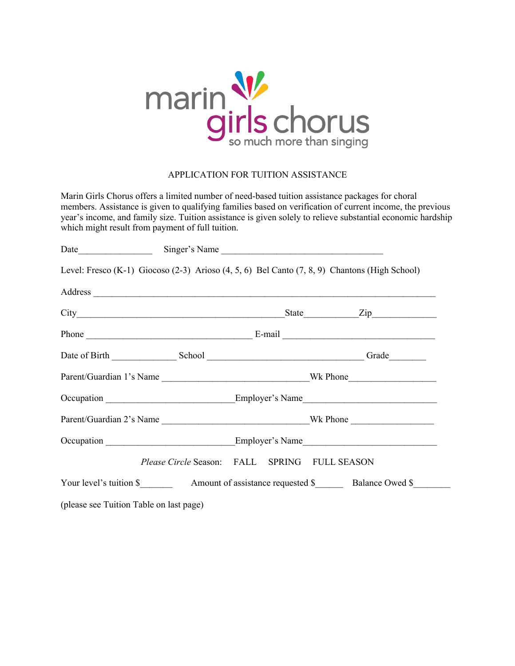

## APPLICATION FOR TUITION ASSISTANCE

Marin Girls Chorus offers a limited number of need-based tuition assistance packages for choral members. Assistance is given to qualifying families based on verification of current income, the previous year's income, and family size. Tuition assistance is given solely to relieve substantial economic hardship which might result from payment of full tuition.

|                                         |                                               |  | Level: Fresco (K-1) Giocoso (2-3) Arioso (4, 5, 6) Bel Canto (7, 8, 9) Chantons (High School)                                                                                                                                  |  |  |  |  |
|-----------------------------------------|-----------------------------------------------|--|--------------------------------------------------------------------------------------------------------------------------------------------------------------------------------------------------------------------------------|--|--|--|--|
|                                         |                                               |  | Address experience and the contract of the contract of the contract of the contract of the contract of the contract of the contract of the contract of the contract of the contract of the contract of the contract of the con |  |  |  |  |
|                                         |                                               |  |                                                                                                                                                                                                                                |  |  |  |  |
|                                         |                                               |  |                                                                                                                                                                                                                                |  |  |  |  |
|                                         |                                               |  |                                                                                                                                                                                                                                |  |  |  |  |
|                                         |                                               |  |                                                                                                                                                                                                                                |  |  |  |  |
|                                         |                                               |  |                                                                                                                                                                                                                                |  |  |  |  |
|                                         |                                               |  |                                                                                                                                                                                                                                |  |  |  |  |
|                                         |                                               |  |                                                                                                                                                                                                                                |  |  |  |  |
|                                         | Please Circle Season: FALL SPRING FULL SEASON |  |                                                                                                                                                                                                                                |  |  |  |  |
|                                         |                                               |  | Your level's tuition \$ Amount of assistance requested \$ Balance Owed \$                                                                                                                                                      |  |  |  |  |
| (please see Tuition Table on last page) |                                               |  |                                                                                                                                                                                                                                |  |  |  |  |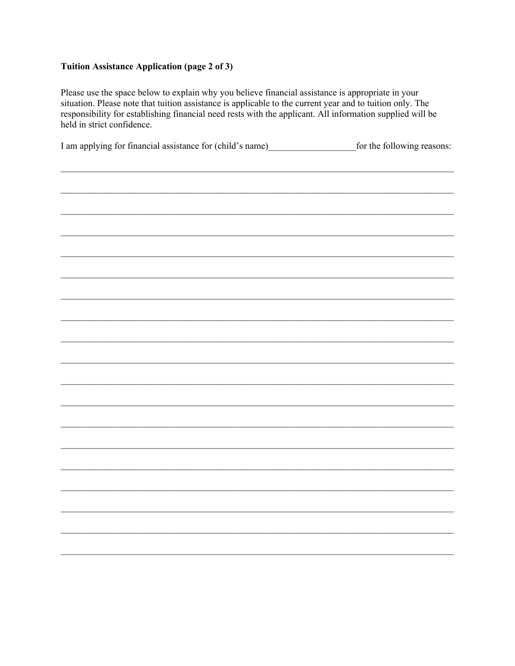## **Tuition Assistance Application (page 2 of 3)**

Please use the space below to explain why you believe financial assistance is appropriate in your situation. Please note that tuition assistance is applicable to the current year and to tuition only. The responsibility for establishing financial need rests with the applicant. All information supplied will be held in strict confidence.